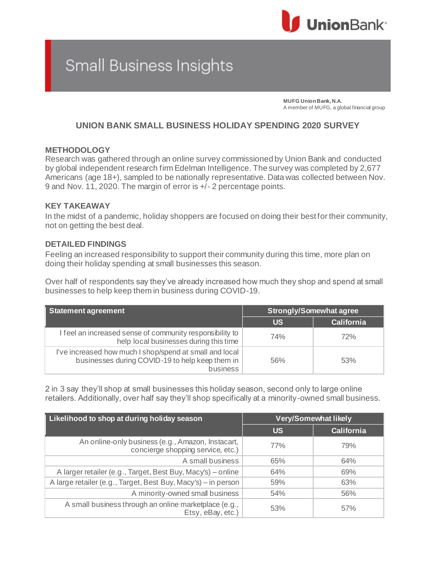

# Small Business Insights

**MUFG Union Bank, N.A.** A member of MUFG, a global financial group

## **UNION BANK SMALL BUSINESS HOLIDAY SPENDING 2020 SURVEY**

### **METHODOLOGY**

Research was gathered through an online survey commissioned by Union Bank and conducted by global independent research firm Edelman Intelligence. The survey was completed by 2,677 Americans (age 18+), sampled to be nationally representative. Data was collected between Nov. 9 and Nov. 11, 2020. The margin of error is +/- 2 percentage points.

#### **KEY TAKEAWAY**

In the midst of a pandemic, holiday shoppers are focused on doing their best for their community, not on getting the best deal.

### **DETAILED FINDINGS**

Feeling an increased responsibility to support their community during this time, more plan on doing their holiday spending at small businesses this season.

Over half of respondents say they've already increased how much they shop and spend at small businesses to help keep them in business during COVID-19.

| <b>Statement agreement</b>                                                                                             | <b>Strongly/Somewhat agree</b> |                   |
|------------------------------------------------------------------------------------------------------------------------|--------------------------------|-------------------|
|                                                                                                                        | <b>US</b>                      | <b>California</b> |
| I feel an increased sense of community responsibility to<br>help local businesses during this time                     | 74%                            | 72%               |
| I've increased how much I shop/spend at small and local<br>businesses during COVID-19 to help keep them in<br>business | 56%                            | 53%               |

2 in 3 say they'll shop at small businesses this holiday season, second only to large online retailers. Additionally, over half say they'll shop specifically at a minority-owned small business.

| Likelihood to shop at during holiday season                                            | <b>Very/Somewhat likely</b> |                   |
|----------------------------------------------------------------------------------------|-----------------------------|-------------------|
|                                                                                        | <b>US</b>                   | <b>California</b> |
| An online-only business (e.g., Amazon, Instacart,<br>concierge shopping service, etc.) | 77%                         | 79%               |
| A small business                                                                       | 65%                         | 64%               |
| A larger retailer (e.g., Target, Best Buy, Macy's) – online                            | 64%                         | 69%               |
| A large retailer (e.g., Target, Best Buy, Macy's) - in person                          | 59%                         | 63%               |
| A minority-owned small business                                                        | 54%                         | 56%               |
| A small business through an online marketplace (e.g.,<br>Etsy, eBay, etc.)             | 53%                         | 57%               |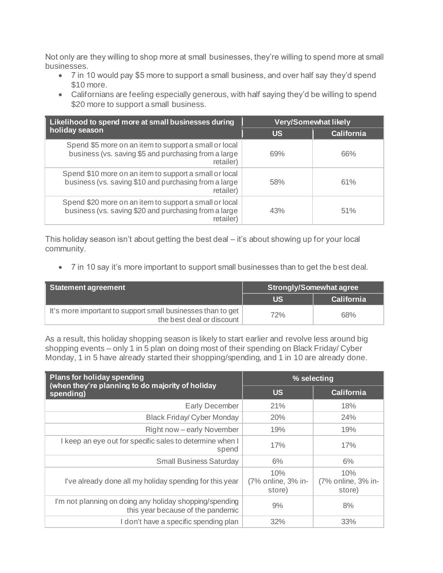Not only are they willing to shop more at small businesses, they're willing to spend more at small businesses.

- 7 in 10 would pay \$5 more to support a small business, and over half say they'd spend \$10 more.
- Californians are feeling especially generous, with half saying they'd be willing to spend \$20 more to support a small business.

| Likelihood to spend more at small businesses during                                                                          | Very/Somewhat likely |                   |
|------------------------------------------------------------------------------------------------------------------------------|----------------------|-------------------|
| holiday season                                                                                                               | <b>US</b>            | <b>California</b> |
| Spend \$5 more on an item to support a small or local<br>business (vs. saving \$5 and purchasing from a large<br>retailer)   | 69%                  | 66%               |
| Spend \$10 more on an item to support a small or local<br>business (vs. saving \$10 and purchasing from a large<br>retailer) | 58%                  | 61%               |
| Spend \$20 more on an item to support a small or local<br>business (vs. saving \$20 and purchasing from a large<br>retailer) | 43%                  | 51%               |

This holiday season isn't about getting the best deal – it's about showing up for your local community.

• 7 in 10 say it's more important to support small businesses than to get the best deal.

| Statement agreement                                                                      | <b>Strongly/Somewhat agree</b> |                   |
|------------------------------------------------------------------------------------------|--------------------------------|-------------------|
|                                                                                          | US.                            | <b>California</b> |
| It's more important to support small businesses than to get<br>the best deal or discount | 72%                            | 68%               |

As a result, this holiday shopping season is likely to start earlier and revolve less around big shopping events – only 1 in 5 plan on doing most of their spending on Black Friday/ Cyber Monday, 1 in 5 have already started their shopping/spending, and 1 in 10 are already done.

| <b>Plans for holiday spending</b><br>(when they're planning to do majority of holiday        | % selecting                         |                                     |
|----------------------------------------------------------------------------------------------|-------------------------------------|-------------------------------------|
| spending)                                                                                    | <b>US</b>                           | <b>California</b>                   |
| <b>Early December</b>                                                                        | 21%                                 | 18%                                 |
| <b>Black Friday/ Cyber Monday</b>                                                            | 20%                                 | 24%                                 |
| Right now - early November                                                                   | 19%                                 | 19%                                 |
| I keep an eye out for specific sales to determine when I<br>spend                            | 17%                                 | 17%                                 |
| <b>Small Business Saturday</b>                                                               | 6%                                  | 6%                                  |
| I've already done all my holiday spending for this year                                      | 10%<br>(7% online, 3% in-<br>store) | 10%<br>(7% online, 3% in-<br>store) |
| I'm not planning on doing any holiday shopping/spending<br>this year because of the pandemic | 9%                                  | 8%                                  |
| I don't have a specific spending plan                                                        | 32%                                 | 33%                                 |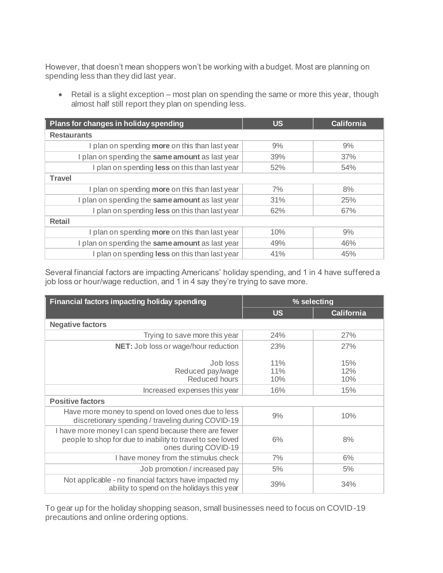However, that doesn't mean shoppers won't be working with a budget. Most are planning on spending less than they did last year.

• Retail is a slight exception – most plan on spending the same or more this year, though almost half still report they plan on spending less.

| Plans for changes in holiday spending                 | <b>US</b> | <b>California</b> |
|-------------------------------------------------------|-----------|-------------------|
| <b>Restaurants</b>                                    |           |                   |
| I plan on spending more on this than last year        | 9%        | 9%                |
| I plan on spending the same amount as last year       | 39%       | 37%               |
| I plan on spending less on this than last year        | 52%       | 54%               |
| <b>Travel</b>                                         |           |                   |
| I plan on spending <b>more</b> on this than last year | 7%        | 8%                |
| I plan on spending the same amount as last year       | 31%       | 25%               |
| I plan on spending less on this than last year        | 62%       | 67%               |
| <b>Retail</b>                                         |           |                   |
| I plan on spending more on this than last year        | 10%       | 9%                |
| I plan on spending the same amount as last year       | 49%       | 46%               |
| plan on spending less on this than last year          | 41%       | 45%               |

Several financial factors are impacting Americans' holiday spending, and 1 in 4 have suffered a job loss or hour/wage reduction, and 1 in 4 say they're trying to save more.

| Financial factors impacting holiday spending                                                                                                | % selecting       |                   |
|---------------------------------------------------------------------------------------------------------------------------------------------|-------------------|-------------------|
|                                                                                                                                             | <b>US</b>         | <b>California</b> |
| <b>Negative factors</b>                                                                                                                     |                   |                   |
| Trying to save more this year                                                                                                               | 24%               | 27%               |
| NET: Job loss or wage/hour reduction                                                                                                        | 23%               | 27%               |
| Job loss<br>Reduced pay/wage<br>Reduced hours                                                                                               | 11%<br>11%<br>10% | 15%<br>12%<br>10% |
| Increased expenses this year                                                                                                                | 16%               | 15%               |
| <b>Positive factors</b>                                                                                                                     |                   |                   |
| Have more money to spend on loved ones due to less<br>discretionary spending / traveling during COVID-19                                    | 9%                | 10%               |
| I have more money I can spend because there are fewer<br>people to shop for due to inability to travel to see loved<br>ones during COVID-19 | 6%                | 8%                |
| I have money from the stimulus check                                                                                                        | 7%                | 6%                |
| Job promotion / increased pay                                                                                                               | 5%                | 5%                |
| Not applicable - no financial factors have impacted my<br>ability to spend on the holidays this year                                        | 39%               | 34%               |

To gear up for the holiday shopping season, small businesses need to focus on COVID-19 precautions and online ordering options.